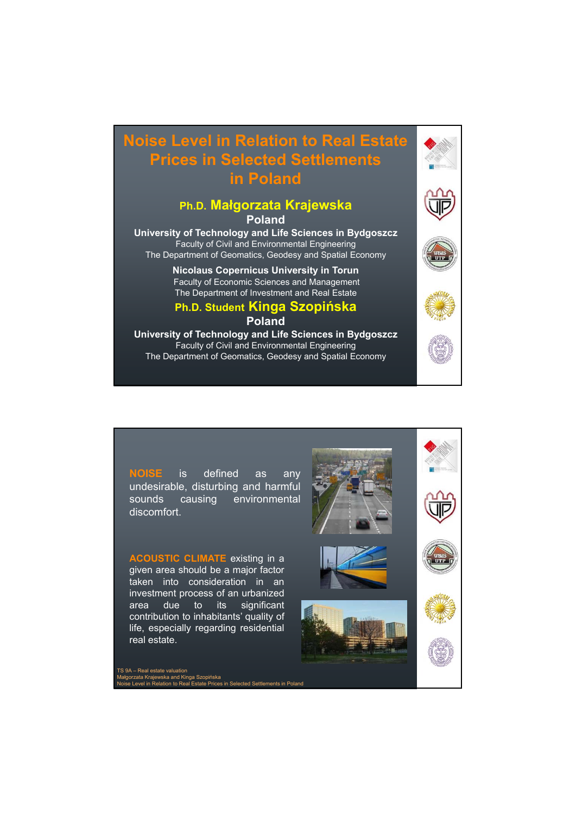# **Noise Level in Relation to Real Estate Prices in Selected Settlements in Poland**

## **Ph.D. Małgorzata Krajewska**

#### **Poland**

**University of Technology and Life Sciences in Bydgoszcz** Faculty of Civil and Environmental Engineering The Department of Geomatics, Geodesy and Spatial Economy

> **Nicolaus Copernicus University in Torun** Faculty of Economic Sciences and Management The Department of Investment and Real Estate

# **Ph.D. Student Kinga Szopińska**

#### **Poland**

**University of Technology and Life Sciences in Bydgoszcz** Faculty of Civil and Environmental Engineering The Department of Geomatics, Geodesy and Spatial Economy







**NOISE** is defined as any undesirable, disturbing and harmful sounds causing environmental discomfort.

**ACOUSTIC CLIMATE** existing in a given area should be a major factor taken into consideration in an investment process of an urbanized area due to its significant contribution to inhabitants' quality of life, especially regarding residential real estate.

TS 9A – Real estate valuation mar Treal Berlin<br>Jorzata Krajewska and Kin<br>se Level in Relation to Rea ska<br>ices in Selected Settlements in Poland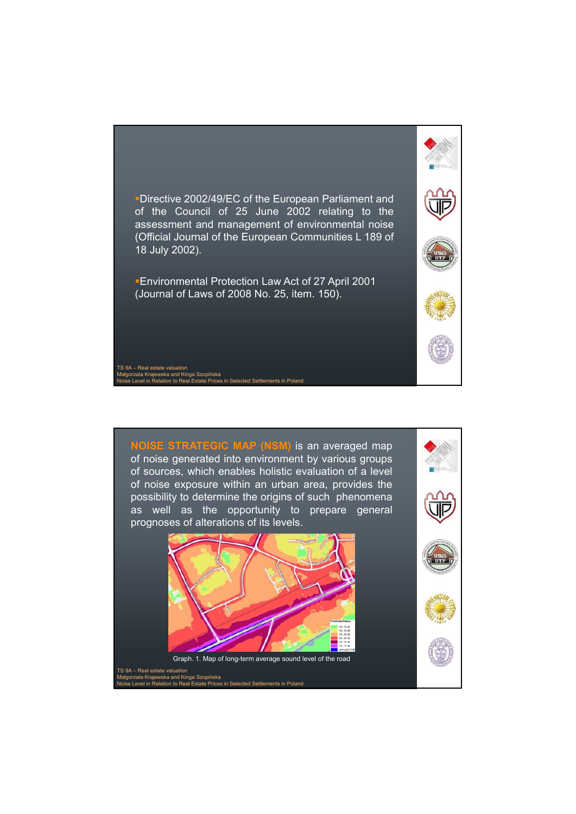

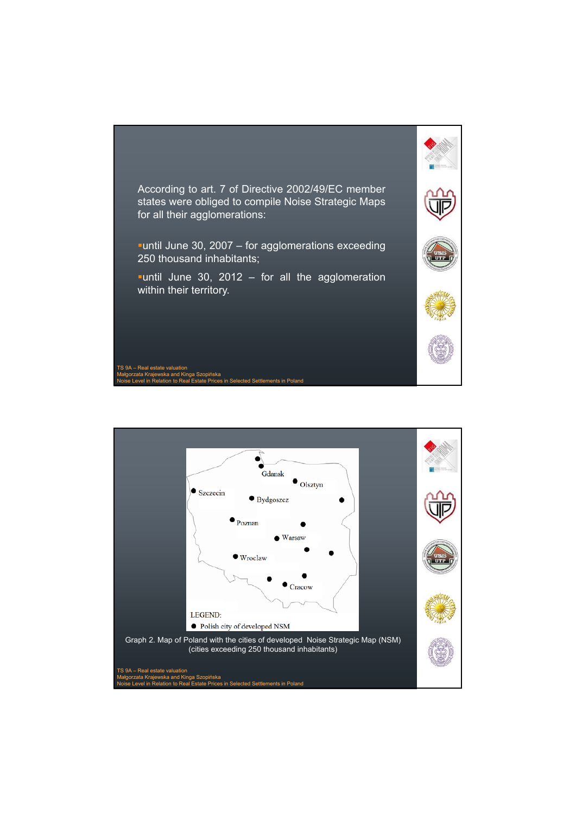

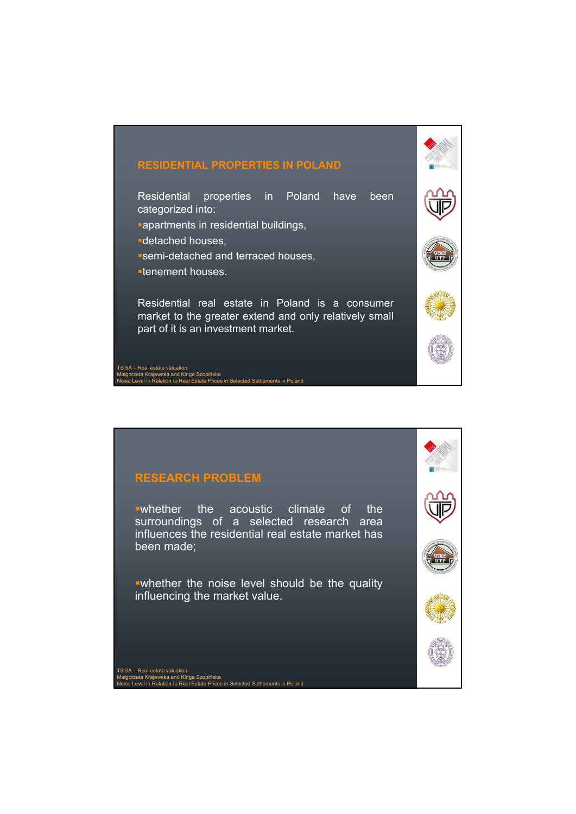## **RESIDENTIAL PROPERTIES IN POLAND**

Residential properties in Poland have been categorized into:

- **apartments in residential buildings,**
- detached houses,
- semi-detached and terraced houses,
- tenement houses.

Residential real estate in Poland is a consumer market to the greater extend and only relatively small part of it is an investment market.

<sub>inca</sub><br>ices in Selected Settlements in Poland

TS 9A – Real estate valuation Małgorzata Krajewska and Kinga Szopińska



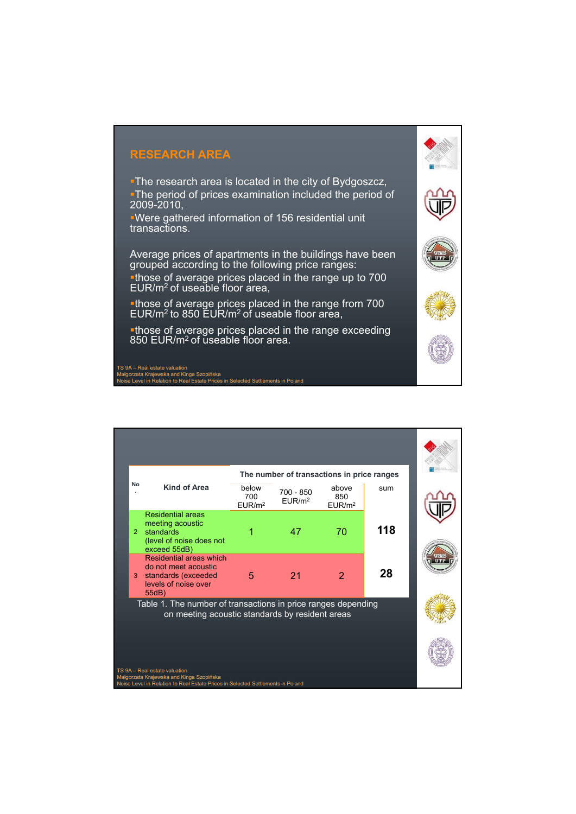## **RESEARCH AREA**

**The research area is located in the city of Bydgoszcz,** The period of prices examination included the period of 2009-2010,

Were gathered information of 156 residential unit transactions.

Average prices of apartments in the buildings have been grouped according to the following price ranges: those of average prices placed in the range up to 700

EUR/m2 of useable floor area, those of average prices placed in the range from 700 EUR/m<sup>2</sup> to 850 EUR/m<sup>2</sup> of useable floor area,

those of average prices placed in the range exceeding 850 EUR/m<sup>2</sup> of useable floor area.

TS 9A – Real estate valuation Małgorzata Krajewska and Kinga Szopińska Noise Level in Relation to Real Estate Prices in Selected Settlements in Poland

| No                                                                                                                                                           | Kind of Area                                                                                            | below<br>700<br>EUR/m <sup>2</sup> | The number of transactions in price ranges<br>$700 - 850$<br>EUR/m <sup>2</sup> | above<br>850<br>EUR/m <sup>2</sup> | sum |  |
|--------------------------------------------------------------------------------------------------------------------------------------------------------------|---------------------------------------------------------------------------------------------------------|------------------------------------|---------------------------------------------------------------------------------|------------------------------------|-----|--|
| $\overline{2}$                                                                                                                                               | <b>Residential areas</b><br>meeting acoustic<br>standards<br>(level of noise does not<br>exceed 55dB)   |                                    | 47                                                                              | 70                                 | 118 |  |
| 3                                                                                                                                                            | Residential areas which<br>do not meet acoustic<br>standards (exceeded<br>levels of noise over<br>55dB) | 5                                  | 21                                                                              | $\overline{2}$                     | 28  |  |
| Table 1. The number of transactions in price ranges depending<br>on meeting acoustic standards by resident areas                                             |                                                                                                         |                                    |                                                                                 |                                    |     |  |
|                                                                                                                                                              |                                                                                                         |                                    |                                                                                 |                                    |     |  |
| TS 9A - Real estate valuation<br>Małgorzata Krajewska and Kinga Szopińska<br>Noise Level in Relation to Real Estate Prices in Selected Settlements in Poland |                                                                                                         |                                    |                                                                                 |                                    |     |  |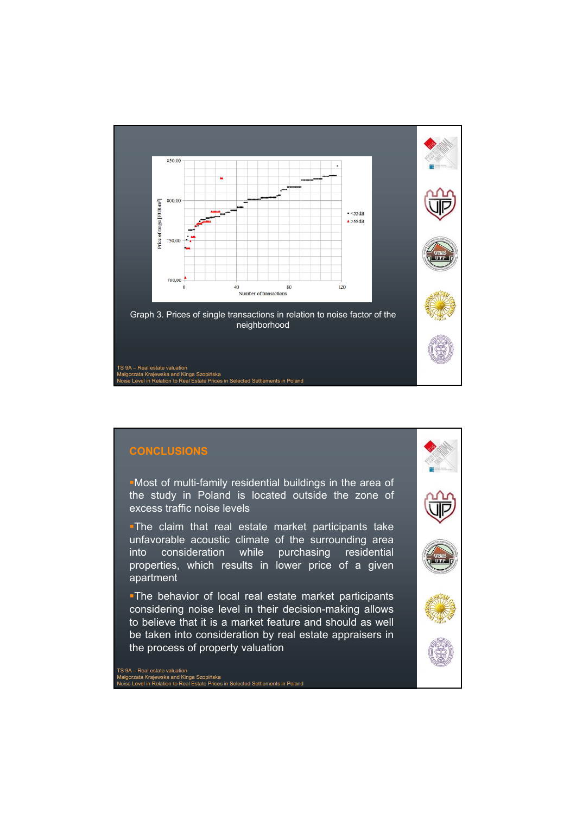

### **CONCLUSIONS**

Most of multi-family residential buildings in the area of the study in Poland is located outside the zone of excess traffic noise levels

**The claim that real estate market participants take** unfavorable acoustic climate of the surrounding area into consideration while purchasing residential properties, which results in lower price of a given apartment

**The behavior of local real estate market participants** considering noise level in their decision-making allows to believe that it is a market feature and should as well be taken into consideration by real estate appraisers in the process of property valuation

TS 9A – Real estate valuation Małgorzata Krajewska and Kinga Szopińska Noise Level in Relation to Real Estate Prices in Selected Settlements in Poland